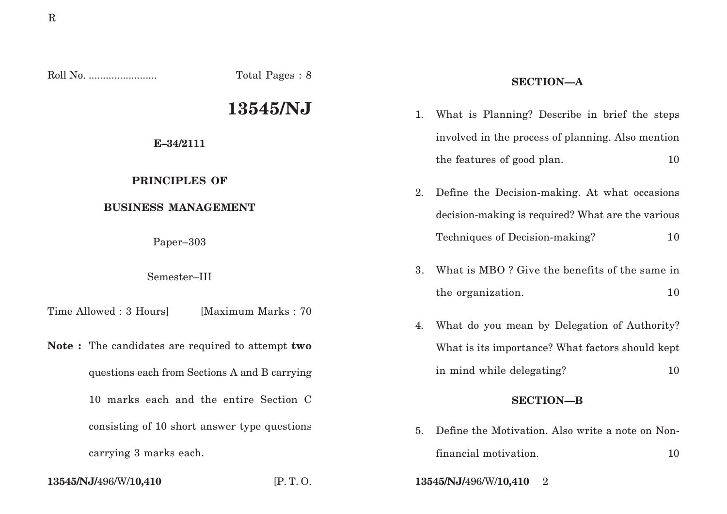Roll No. ........................ Total Pages : 8 **13545/NJ E–34/2111 PRINCIPLES OF BUSINESS MANAGEMENT** Paper–303 Semester–III Time Allowed : 3 Hours [Maximum Marks : 70] **Note :** The candidates are required to attempt **two** questions each from Sections A and B carrying 10 marks each and the entire Section C consisting of 10 short answer type questions carrying 3 marks each. **SECTION—A** 1. What is Planning? Describe in brief the steps involved in the process of planning. Also mention the features of good plan. 10 2. Define the Decision-making. At what occasions decision-making is required? What are the various Techniques of Decision-making? 10 3. What is MBO ? Give the benefits of the same in the organization. 10 4. What do you mean by Delegation of Authority? What is its importance? What factors should kept in mind while delegating? 10 **SECTION—B** 5. Define the Motivation. Also write a note on Nonfinancial motivation. 10

**13545/NJ/**496/W/**10,410** [P. T. O. **13545/NJ/**496/W/**10,410** 2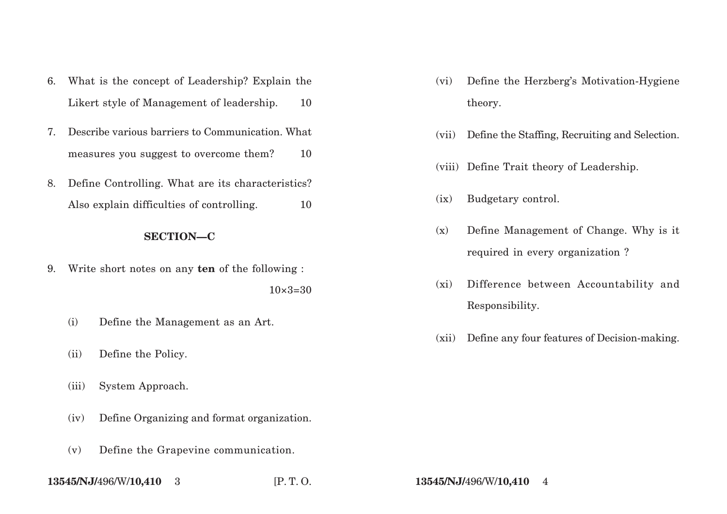- 6. What is the concept of Leadership? Explain the Likert style of Management of leadership. 10
- 7. Describe various barriers to Communication. What measures you suggest to overcome them? 10
- 8. Define Controlling. What are its characteristics? Also explain difficulties of controlling.  $10$

# **SECTION—C**

9. Write short notes on any **ten** of the following :

 $10\times3=30$ 

- (i) Define the Management as an Art.
- (ii) Define the Policy.
- (iii) System Approach.
- (iv) Define Organizing and format organization.
- (v) Define the Grapevine communication.
- **13545/NJ/**496/W/**10,410** 3 [P. T. O. **13545/NJ/**496/W/**10,410** 4
- (vi) Define the Herzberg's Motivation-Hygiene theory.
- (vii) Define the Staffing, Recruiting and Selection.
- (viii) Define Trait theory of Leadership.
- (ix) Budgetary control.
- (x) Define Management of Change. Why is it required in every organization ?
- (xi) Difference between Accountability and Responsibility.
- (xii) Define any four features of Decision-making.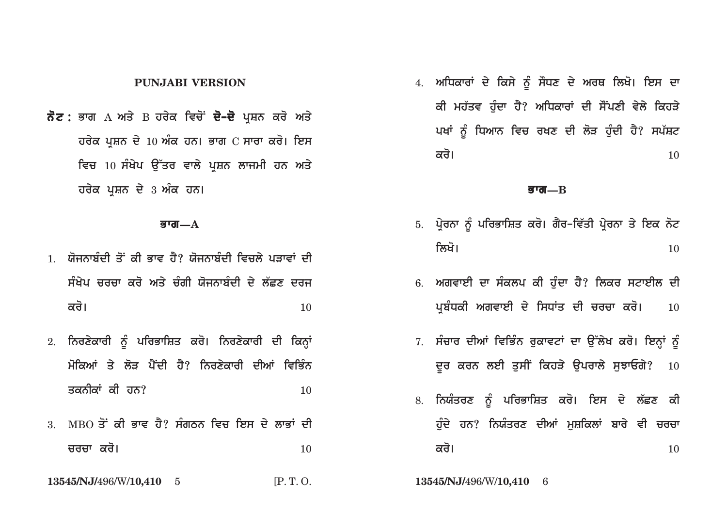## **PUNJABI VERSION**

**ਨੋਟ :** ਭਾਗ А ਅਤੇ В ਹਰੇਕ ਵਿਚੋਂ **ਦੋ–ਦੋ** ਪਸ਼ਨ ਕਰੋ ਅਤੇ **ਹਰੇਕ ਪਸ਼ਨ ਦੇ 10 ਅੰਕ ਹਨ। ਭਾਗ C ਸਾਰਾ ਕਰੋ। ਇਸ** <u>ਵਿਚ 10 ਸੰਖੇਪ ਉੱਤਰ ਵਾਲੇ ਪੁਸ਼ਨ ਲਾਜਮੀ ਹਨ ਅਤੇ</u> **ਹਰੇਕ ਪਸ਼ਨ ਦੇ 3 ਅੰਕ ਹਨ।** 

## **Bwg—A**

- 1. ਯੋਜਨਾਬੰਦੀ ਤੋਂ ਕੀ ਭਾਵ ਹੈ? ਯੋਜਨਾਬੰਦੀ ਵਿਚਲੇ ਪਤਾਵਾਂ ਦੀ ਸੰਖੇਪ ਜਰਜਾ ਕਰੋ ਅਤੇ ਜੰਗੀ ਯੋਜਨਾਬੰਦੀ ਦੇ ਲੱਛਣ ਦਰਜ  $\overrightarrow{\mathbf{a}}$ ਰੋ।  $\overrightarrow{\mathbf{a}}$
- 2. ਨਿਰਣੇਕਾਰੀ ਨੂੰ ਪਰਿਭਾਸ਼ਿਤ ਕਰੋ। ਨਿਰਣੇਕਾਰੀ ਦੀ ਕਿਨ੍ਹਾਂ <u>ਮੋਕਿਆਂ ਤੇ ਲੋਤ ਪੈਂਦੀ ਹੈ? ਨਿਰਣੇਕਾਰੀ ਦੀਆਂ ਵਿਭਿੰਨ</u> **qknIkW kI hn?** 10
- <u>3. MBO ਤੋਂ ਕੀ ਭਾਵ ਹੈ? ਸੰਗਠਨ ਵਿਚ ਇਸ ਦੇ ਲਾਭਾਂ ਦੀ </u> **crcw kro[** <sup>10</sup>
- **13545/NJ/**496/W/**10,410** 5 [P. T. O. **13545/NJ/**496/W/**10,410** 6

4. **ਅਧਿਕਾਰਾਂ ਦੇ ਕਿਸੇ** ਨੂੰ ਸੌਧਣ ਦੇ ਅਰਥ ਲਿਖੋ। ਇਸ ਦਾ ਕੀ ਮਹੱਤਵ ਹੰਦਾ ਹੈ? ਅਧਿਕਾਰਾਂ ਦੀ ਸੌਂਪਣੀ ਵੇਲੇ ਕਿਹੜੇ <u>ਪਖਾਂ ਨੂੰ ਧਿਆਨ ਵਿਚ ਰਖਣ ਦੀ ਲੋੜ ਹੁੰਦੀ ਹੈ? ਸਪੱਸ਼ਟ</u> **kro[** <sup>10</sup>

### **Bwg—B**

- 5. ਪੇਰਨਾ ਨੂੰ ਪਰਿਭਾਸ਼ਿਤ ਕਰੋ। ਗੈਰ-ਵਿੱਤੀ ਪੇਰਨਾ ਤੇ ਇਕ ਨੋਟ **ilKo[** <sup>10</sup>
- 6. ਅਗਵਾਈ ਦਾ ਸੰਕਲਪ ਕੀ ਹੰਦਾ ਹੈ? ਲਿਕਰ ਸਟਾਈਲ ਦੀ ਪਬੰਧਕੀ ਅਗਵਾਈ ਦੇ ਸਿਧਾਂਤ ਦੀ ਚਰਚਾ ਕਰੋ। **10**
- 7. ਸੰਚਾਰ ਦੀਆਂ ਵਿਭਿੰਨ ਰੁਕਾਵਟਾਂ ਦਾ ਉੱਲੇਖ ਕਰੋ। ਇਨ੍ਹਾਂ ਨੂੰ <u>ਦ</u>ਰ ਕਰਨ ਲਈ ਤੁਸੀਂ ਕਿਹੜੇ ਉਪਰਾਲੇ ਸੁਝਾਓਗੇ? 10
- 8. ਨਿਯੰਤਰਣ ਨੂੰ ਪਰਿਭਾਸ਼ਿਤ ਕਰੋ। ਇਸ ਦੇ ਲੱਛਣ ਕੀ **ਹੰਦੇ ਹਨ? ਨਿਯੰਤਰਣ ਦੀਆਂ ਮਸ਼ਕਿਲਾਂ ਬਾਰੇ ਵੀ ਚਰਚਾ kro[** <sup>10</sup>